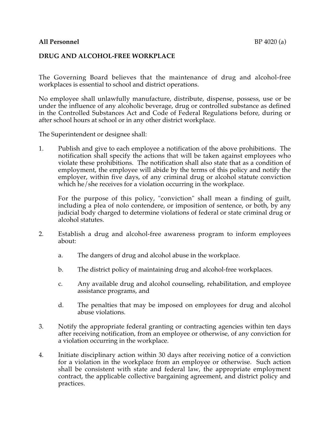## **All Personnel** BP 4020 (a)

## **DRUG AND ALCOHOL-FREE WORKPLACE**

The Governing Board believes that the maintenance of drug and alcohol-free workplaces is essential to school and district operations.

No employee shall unlawfully manufacture, distribute, dispense, possess, use or be under the influence of any alcoholic beverage, drug or controlled substance as defined in the Controlled Substances Act and Code of Federal Regulations before, during or after school hours at school or in any other district workplace.

The Superintendent or designee shall:

1. Publish and give to each employee a notification of the above prohibitions. The notification shall specify the actions that will be taken against employees who violate these prohibitions. The notification shall also state that as a condition of employment, the employee will abide by the terms of this policy and notify the employer, within five days, of any criminal drug or alcohol statute conviction which he/she receives for a violation occurring in the workplace.

For the purpose of this policy, "conviction" shall mean a finding of guilt, including a plea of nolo contendere, or imposition of sentence, or both, by any judicial body charged to determine violations of federal or state criminal drug or alcohol statutes.

- 2. Establish a drug and alcohol-free awareness program to inform employees about:
	- a. The dangers of drug and alcohol abuse in the workplace.
	- b. The district policy of maintaining drug and alcohol-free workplaces.
	- c. Any available drug and alcohol counseling, rehabilitation, and employee assistance programs, and
	- d. The penalties that may be imposed on employees for drug and alcohol abuse violations.
- 3. Notify the appropriate federal granting or contracting agencies within ten days after receiving notification, from an employee or otherwise, of any conviction for a violation occurring in the workplace.
- 4. Initiate disciplinary action within 30 days after receiving notice of a conviction for a violation in the workplace from an employee or otherwise. Such action shall be consistent with state and federal law, the appropriate employment contract, the applicable collective bargaining agreement, and district policy and practices.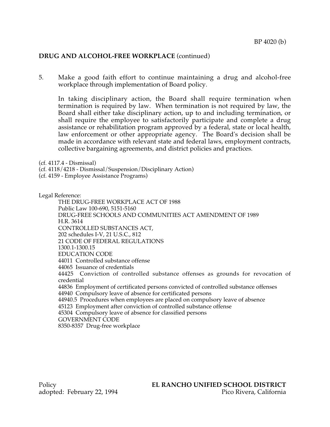## **DRUG AND ALCOHOL-FREE WORKPLACE** (continued)

5. Make a good faith effort to continue maintaining a drug and alcohol-free workplace through implementation of Board policy.

In taking disciplinary action, the Board shall require termination when termination is required by law. When termination is not required by law, the Board shall either take disciplinary action, up to and including termination, or shall require the employee to satisfactorily participate and complete a drug assistance or rehabilitation program approved by a federal, state or local health, law enforcement or other appropriate agency. The Board's decision shall be made in accordance with relevant state and federal laws, employment contracts, collective bargaining agreements, and district policies and practices.

(cf. 4117.4 - Dismissal)

(cf. 4118/4218 - Dismissal/Suspension/Disciplinary Action)

(cf. 4159 - Employee Assistance Programs)

Legal Reference:

THE DRUG-FREE WORKPLACE ACT OF 1988 Public Law 100-690, 5151-5160 DRUG-FREE SCHOOLS AND COMMUNITIES ACT AMENDMENT OF 1989 H.R. 3614 CONTROLLED SUBSTANCES ACT, 202 schedules I-V, 21 U.S.C., 812 21 CODE OF FEDERAL REGULATIONS 1300.1-1300.15 EDUCATION CODE 44011 Controlled substance offense 44065 Issuance of credentials 44425 Conviction of controlled substance offenses as grounds for revocation of credential 44836 Employment of certificated persons convicted of controlled substance offenses 44940 Compulsory leave of absence for certificated persons 44940.5 Procedures when employees are placed on compulsory leave of absence 45123 Employment after conviction of controlled substance offense 45304 Compulsory leave of absence for classified persons GOVERNMENT CODE 8350-8357 Drug-free workplace